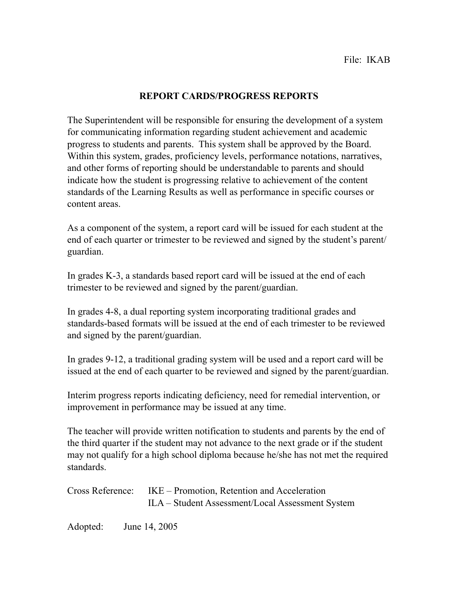## **REPORT CARDS/PROGRESS REPORTS**

The Superintendent will be responsible for ensuring the development of a system for communicating information regarding student achievement and academic progress to students and parents. This system shall be approved by the Board. Within this system, grades, proficiency levels, performance notations, narratives, and other forms of reporting should be understandable to parents and should indicate how the student is progressing relative to achievement of the content standards of the Learning Results as well as performance in specific courses or content areas.

As a component of the system, a report card will be issued for each student at the end of each quarter or trimester to be reviewed and signed by the student's parent/ guardian.

In grades K-3, a standards based report card will be issued at the end of each trimester to be reviewed and signed by the parent/guardian.

In grades 4-8, a dual reporting system incorporating traditional grades and standards-based formats will be issued at the end of each trimester to be reviewed and signed by the parent/guardian.

In grades 9-12, a traditional grading system will be used and a report card will be issued at the end of each quarter to be reviewed and signed by the parent/guardian.

Interim progress reports indicating deficiency, need for remedial intervention, or improvement in performance may be issued at any time.

The teacher will provide written notification to students and parents by the end of the third quarter if the student may not advance to the next grade or if the student may not qualify for a high school diploma because he/she has not met the required standards.

| Cross Reference: IKE – Promotion, Retention and Acceleration |
|--------------------------------------------------------------|
| ILA – Student Assessment/Local Assessment System             |

Adopted: June 14, 2005